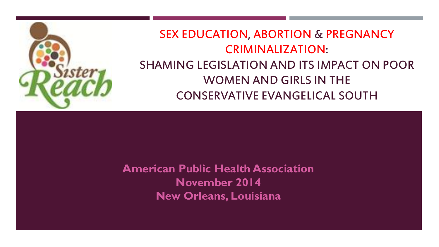

### SEX EDUCATION, ABORTION & PREGNANCY CRIMINALIZATION: SHAMING LEGISLATION AND ITS IMPACT ON POOR WOMEN AND GIRLS IN THE CONSERVATIVE EVANGELICAL SOUTH

**American Public Health Association November 2014 New Orleans, Louisiana**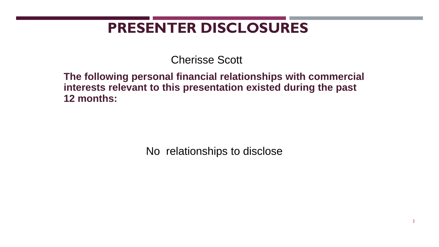# **PRESENTER DISCLOSURES**

Cherisse Scott

**The following personal financial relationships with commercial interests relevant to this presentation existed during the past 12 months:**

No relationships to disclose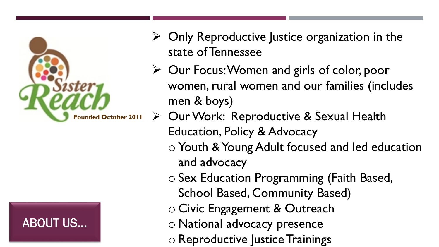



- $\triangleright$  Only Reproductive Justice organization in the state of Tennessee
- Our Focus: Women and girls of color, poor women, rural women and our families (includes men & boys)
- ▶ Our Work: Reproductive & Sexual Health Education, Policy & Advocacy
	- o Youth & Young Adult focused and led education and advocacy
	- o Sex Education Programming (Faith Based,
		- School Based, Community Based)
	- o Civic Engagement & Outreach
	- o National advocacy presence
	- o Reproductive Justice Trainings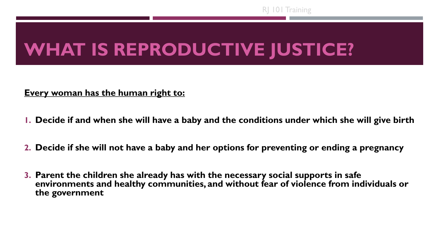RJ 101 Training

# **WHAT IS REPRODUCTIVE JUSTICE?**

#### **Every woman has the human right to:**

- **1. Decide if and when she will have a baby and the conditions under which she will give birth**
- **2. Decide if she will not have a baby and her options for preventing or ending a pregnancy**
- **3. Parent the children she already has with the necessary social supports in safe environments and healthy communities, and without fear of violence from individuals or the government**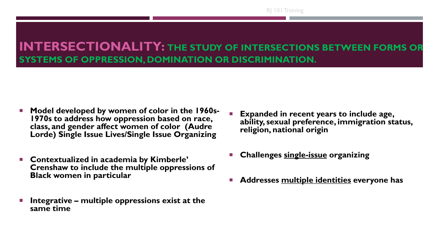RJ 101 Training

#### **INTERSECTIONALITY: THE STUDY OF INTERSECTIONS BETWEEN FORMS OR SYSTEMS OF OPPRESSION, DOMINATION OR DISCRIMINATION.**

- **Model developed by women of color in the 1960s-1970s to address how oppression based on race, class, and gender affect women of color (Audre Lorde) Single Issue Lives/Single Issue Organizing**
- **Contextualized in academia by Kimberle' Crenshaw to include the multiple oppressions of Black women in particular**
- **Integrative – multiple oppressions exist at the same time**
- **Expanded in recent years to include age, ability, sexual preference, immigration status, religion, national origin**
- **Challenges single-issue organizing**
- **Addresses multiple identities everyone has**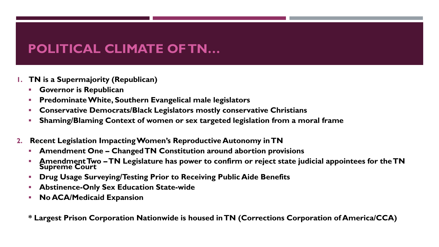### **POLITICAL CLIMATE OF TN…**

- **1. TN is a Supermajority (Republican)**
	- **Governor is Republican**
	- **Predominate White, Southern Evangelical male legislators**
	- **Conservative Democrats/Black Legislators mostly conservative Christians**
	- **Shaming/Blaming Context of women or sex targeted legislation from a moral frame**
- **2. Recent Legislation Impacting Women's Reproductive Autonomy in TN**
	- **Amendment One – Changed TN Constitution around abortion provisions**
	- **Amendment Two –TN Legislature has power to confirm or reject state judicial appointees for the TN Supreme Court**
	- **Drug Usage Surveying/Testing Prior to Receiving Public Aide Benefits**
	- **Abstinence-Only Sex Education State-wide**
	- **No ACA/Medicaid Expansion**

**\* Largest Prison Corporation Nationwide is housed in TN (Corrections Corporation of America/CCA)**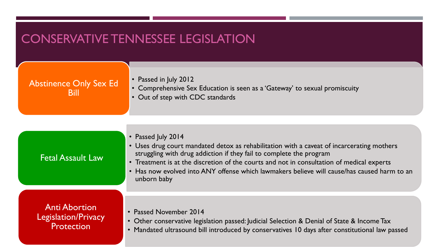### CONSERVATIVE TENNESSEE LEGISLATION

| <b>Abstinence Only Sex Ed</b><br>Bill | • Passed in July 2012<br>• Comprehensive Sex Education is seen as a 'Gateway' to sexual promiscuity<br>• Out of step with CDC standards                                                                                                                                                                                                                                                           |
|---------------------------------------|---------------------------------------------------------------------------------------------------------------------------------------------------------------------------------------------------------------------------------------------------------------------------------------------------------------------------------------------------------------------------------------------------|
| <b>Fetal Assault Law</b>              | • Passed July 2014<br>• Uses drug court mandated detox as rehabilitation with a caveat of incarcerating mothers<br>struggling with drug addiction if they fail to complete the program<br>• Treatment is at the discretion of the courts and not in consultation of medical experts<br>• Has now evolved into ANY offense which lawmakers believe will cause/has caused harm to an<br>unborn baby |

Anti Abortion Legislation/Privacy **Protection** 

- Passed November 2014
- Other conservative legislation passed: Judicial Selection & Denial of State & Income Tax
- Mandated ultrasound bill introduced by conservatives 10 days after constitutional law passed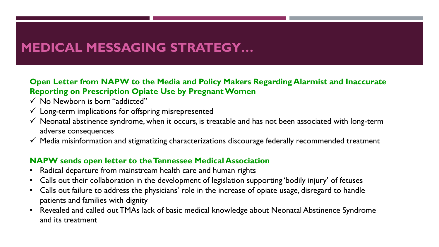## **MEDICAL MESSAGING STRATEGY…**

#### **Open Letter from NAPW to the Media and Policy Makers Regarding Alarmist and Inaccurate Reporting on Prescription Opiate Use by Pregnant Women**

- $\checkmark$  No Newborn is born "addicted"
- $\checkmark$  Long-term implications for offspring misrepresented
- $\checkmark$  Neonatal abstinence syndrome, when it occurs, is treatable and has not been associated with long-term adverse consequences
- $\checkmark$  Media misinformation and stigmatizing characterizations discourage federally recommended treatment

#### **NAPW sends open letter to the Tennessee Medical Association**

- Radical departure from mainstream health care and human rights
- Calls out their collaboration in the development of legislation supporting 'bodily injury' of fetuses
- Calls out failure to address the physicians' role in the increase of opiate usage, disregard to handle patients and families with dignity
- Revealed and called out TMAs lack of basic medical knowledge about Neonatal Abstinence Syndrome and its treatment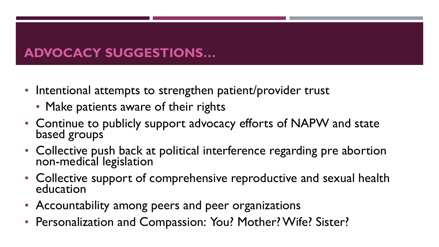### **ADVOCACY SUGGESTIONS…**

- Intentional attempts to strengthen patient/provider trust
	- Make patients aware of their rights
- Continue to publicly support advocacy efforts of NAPW and state based groups
- Collective push back at political interference regarding pre abortion non-medical legislation
- Collective support of comprehensive reproductive and sexual health education
- Accountability among peers and peer organizations
- Personalization and Compassion: You? Mother? Wife? Sister?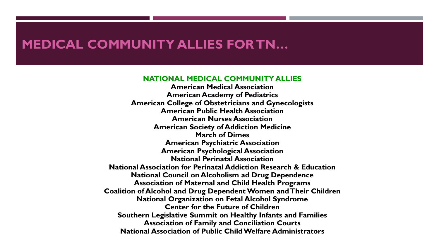#### **MEDICAL COMMUNITY ALLIES FOR TN…**

#### **NATIONAL MEDICAL COMMUNITY ALLIES**

**American Medical Association American Academy of Pediatrics American College of Obstetricians and Gynecologists American Public Health Association American Nurses Association American Society of Addiction Medicine March of Dimes American Psychiatric Association American Psychological Association National Perinatal Association National Association for Perinatal Addiction Research & Education National Council on Alcoholism ad Drug Dependence Association of Maternal and Child Health Programs Coalition of Alcohol and Drug Dependent Women and Their Children National Organization on Fetal Alcohol Syndrome Center for the Future of Children Southern Legislative Summit on Healthy Infants and Families Association of Family and Conciliation Courts National Association of Public Child Welfare Administrators**